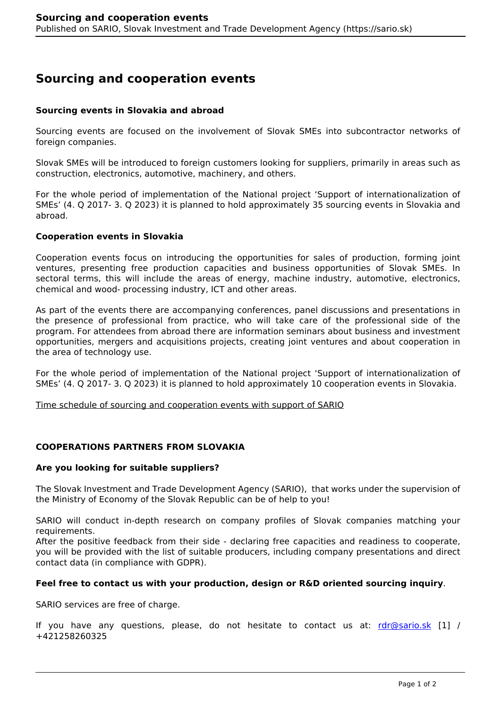# **Sourcing and cooperation events**

## **Sourcing events in Slovakia and abroad**

Sourcing events are focused on the involvement of Slovak SMEs into subcontractor networks of foreign companies.

Slovak SMEs will be introduced to foreign customers looking for suppliers, primarily in areas such as construction, electronics, automotive, machinery, and others.

For the whole period of implementation of the National project 'Support of internationalization of SMEs' (4. Q 2017- 3. Q 2023) it is planned to hold approximately 35 sourcing events in Slovakia and abroad.

#### **Cooperation events in Slovakia**

Cooperation events focus on introducing the opportunities for sales of production, forming joint ventures, presenting free production capacities and business opportunities of Slovak SMEs. In sectoral terms, this will include the areas of energy, machine industry, automotive, electronics, chemical and wood- processing industry, ICT and other areas.

As part of the events there are accompanying conferences, panel discussions and presentations in the presence of professional from practice, who will take care of the professional side of the program. For attendees from abroad there are information seminars about business and investment opportunities, mergers and acquisitions projects, creating joint ventures and about cooperation in the area of technology use.

For the whole period of implementation of the National project 'Support of internationalization of SMEs' (4. Q 2017- 3. Q 2023) it is planned to hold approximately 10 cooperation events in Slovakia.

Time schedule of sourcing and cooperation events with support of SARIO

## **COOPERATIONS PARTNERS FROM SLOVAKIA**

#### **Are you looking for suitable suppliers?**

The Slovak Investment and Trade Development Agency (SARIO), that works under the supervision of the Ministry of Economy of the Slovak Republic can be of help to you!

SARIO will conduct in-depth research on company profiles of Slovak companies matching your requirements.

After the positive feedback from their side - declaring free capacities and readiness to cooperate, you will be provided with the list of suitable producers, including company presentations and direct contact data (in compliance with GDPR).

### **Feel free to contact us with your production, design or R&D oriented sourcing inquiry**.

SARIO services are free of charge.

If you have any questions, please, do not hesitate to contact us at:  $rdr@sario.sk [1]$  $rdr@sario.sk [1]$  / +421258260325